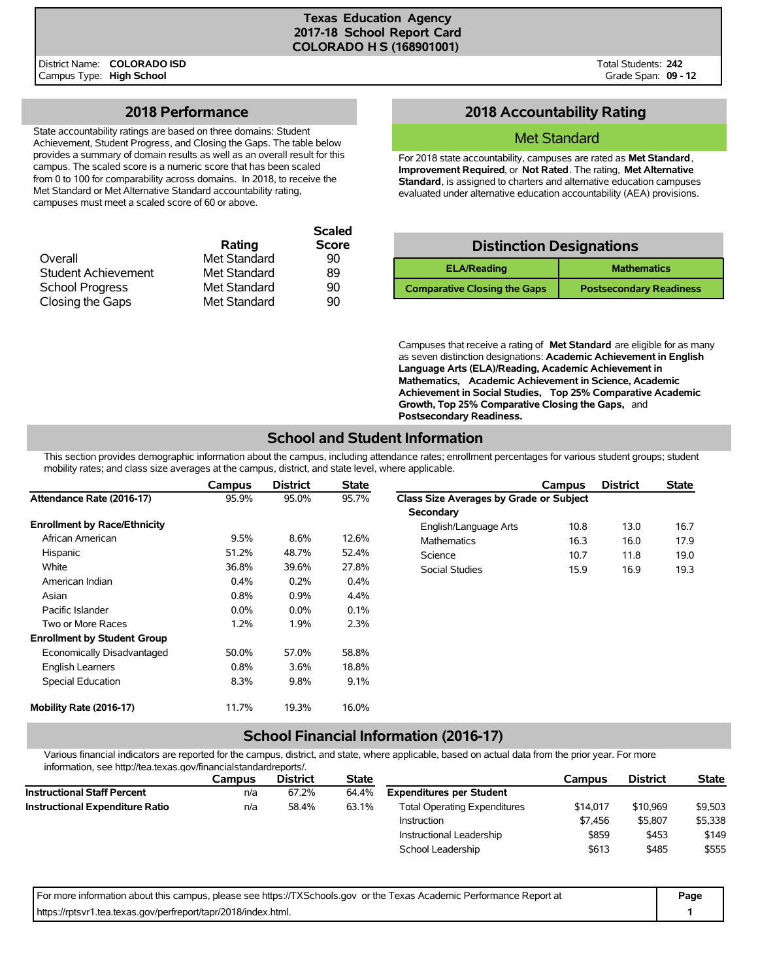**Scaled**

District Name: **COLORADO ISD** Campus Type: **High School**

Total Students: **242** Grade Span: **09 - 12**

### **2018 Performance**

State accountability ratings are based on three domains: Student Achievement, Student Progress, and Closing the Gaps. The table below provides a summary of domain results as well as an overall result for this campus. The scaled score is a numeric score that has been scaled from 0 to 100 for comparability across domains. In 2018, to receive the Met Standard or Met Alternative Standard accountability rating, campuses must meet a scaled score of 60 or above.

|              | <b>Scaled</b> |
|--------------|---------------|
| Rating       | <b>Score</b>  |
| Met Standard | 90            |
| Met Standard | 89            |
| Met Standard | 90            |
| Met Standard | 90            |
|              |               |

## **2018 Accountability Rating**

### Met Standard

For 2018 state accountability, campuses are rated as **Met Standard**, **Improvement Required**, or **Not Rated**. The rating, **Met Alternative Standard**, is assigned to charters and alternative education campuses evaluated under alternative education accountability (AEA) provisions.

#### **Distinction Designations**

| <b>ELA/Reading</b>                  | <b>Mathematics</b>             |
|-------------------------------------|--------------------------------|
| <b>Comparative Closing the Gaps</b> | <b>Postsecondary Readiness</b> |

Campuses that receive a rating of **Met Standard** are eligible for as many as seven distinction designations: **Academic Achievement in English Language Arts (ELA)/Reading, Academic Achievement in Mathematics, Academic Achievement in Science, Academic Achievement in Social Studies, Top 25% Comparative Academic Growth, Top 25% Comparative Closing the Gaps,** and **Postsecondary Readiness.**

## **School and Student Information**

This section provides demographic information about the campus, including attendance rates; enrollment percentages for various student groups; student mobility rates; and class size averages at the campus, district, and state level, where applicable.

|                                     | Campus  | <b>District</b> | <b>State</b> |                                         | Campus | <b>District</b> | <b>State</b> |
|-------------------------------------|---------|-----------------|--------------|-----------------------------------------|--------|-----------------|--------------|
| Attendance Rate (2016-17)           | 95.9%   | 95.0%           | 95.7%        | Class Size Averages by Grade or Subject |        |                 |              |
|                                     |         |                 |              | Secondary                               |        |                 |              |
| <b>Enrollment by Race/Ethnicity</b> |         |                 |              | English/Language Arts                   | 10.8   | 13.0            | 16.7         |
| African American                    | 9.5%    | 8.6%            | 12.6%        | <b>Mathematics</b>                      | 16.3   | 16.0            | 17.9         |
| Hispanic                            | 51.2%   | 48.7%           | 52.4%        | Science                                 | 10.7   | 11.8            | 19.0         |
| White                               | 36.8%   | 39.6%           | 27.8%        | <b>Social Studies</b>                   | 15.9   | 16.9            | 19.3         |
| American Indian                     | $0.4\%$ | 0.2%            | $0.4\%$      |                                         |        |                 |              |
| Asian                               | 0.8%    | 0.9%            | 4.4%         |                                         |        |                 |              |
| Pacific Islander                    | $0.0\%$ | $0.0\%$         | 0.1%         |                                         |        |                 |              |
| Two or More Races                   | 1.2%    | 1.9%            | 2.3%         |                                         |        |                 |              |
| <b>Enrollment by Student Group</b>  |         |                 |              |                                         |        |                 |              |
| Economically Disadvantaged          | 50.0%   | 57.0%           | 58.8%        |                                         |        |                 |              |
| <b>English Learners</b>             | 0.8%    | 3.6%            | 18.8%        |                                         |        |                 |              |
| Special Education                   | 8.3%    | 9.8%            | 9.1%         |                                         |        |                 |              |
| Mobility Rate (2016-17)             | 11.7%   | 19.3%           | 16.0%        |                                         |        |                 |              |

## **School Financial Information (2016-17)**

Various financial indicators are reported for the campus, district, and state, where applicable, based on actual data from the prior year. For more information, see http://tea.texas.gov/financialstandardreports/.

| Campus | <b>District</b> | <b>State</b> |                                     | Campus   | <b>District</b> | <b>State</b> |
|--------|-----------------|--------------|-------------------------------------|----------|-----------------|--------------|
| n/a    | 67.2%           | 64.4%        | <b>Expenditures per Student</b>     |          |                 |              |
| n/a    | 58.4%           | 63.1%        | <b>Total Operating Expenditures</b> | \$14,017 | \$10,969        | \$9,503      |
|        |                 |              | Instruction                         | \$7.456  | \$5,807         | \$5,338      |
|        |                 |              | Instructional Leadership            | \$859    | \$453           | \$149        |
|        |                 |              | School Leadership                   | \$613    | \$485           | \$555        |
|        |                 |              |                                     |          |                 |              |

| For more information about this campus, please see https://TXSchools.gov or the Texas Academic Performance Report at | Page |
|----------------------------------------------------------------------------------------------------------------------|------|
| https://rptsvr1.tea.texas.gov/perfreport/tapr/2018/index.html.                                                       |      |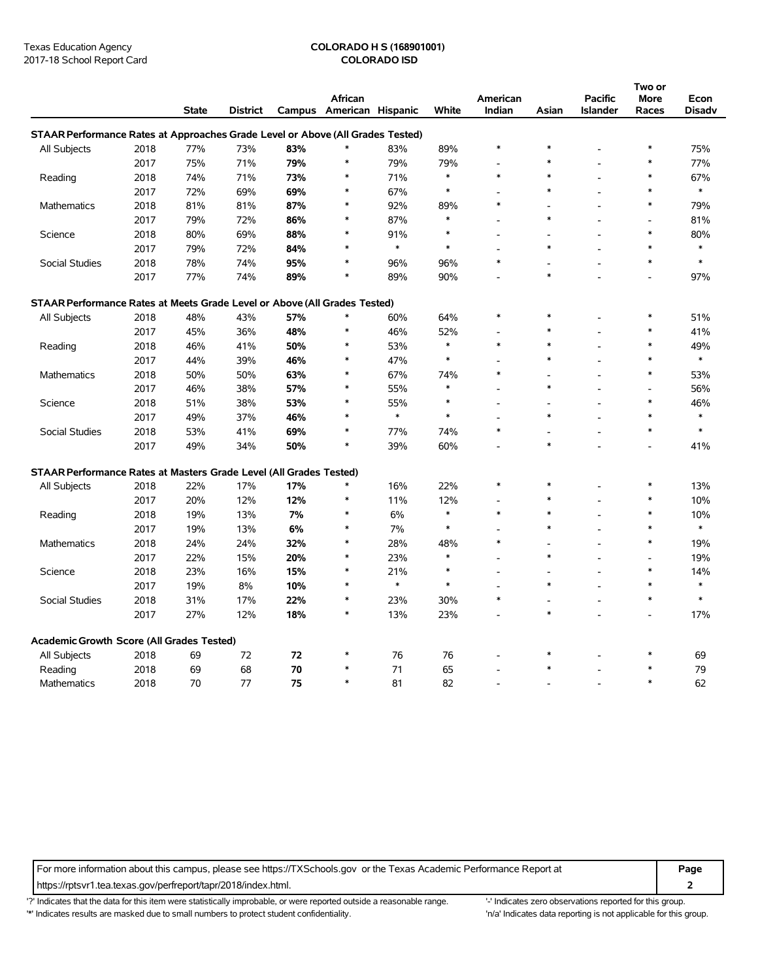# Texas Education Agency **COLORADO H S (168901001)**

|                                                                                |      |              |                 |     |                          |              |        |          |        |                 | Two or         |        |
|--------------------------------------------------------------------------------|------|--------------|-----------------|-----|--------------------------|--------------|--------|----------|--------|-----------------|----------------|--------|
|                                                                                |      |              |                 |     | African                  |              |        | American |        | <b>Pacific</b>  | More           | Econ   |
|                                                                                |      | <b>State</b> | <b>District</b> |     | Campus American Hispanic |              | White  | Indian   | Asian  | <b>Islander</b> | Races          | Disadv |
| STAAR Performance Rates at Approaches Grade Level or Above (All Grades Tested) |      |              |                 |     |                          |              |        |          |        |                 |                |        |
| All Subjects                                                                   | 2018 | 77%          | 73%             | 83% | $\ast$                   | 83%          | 89%    | $\ast$   | $\ast$ |                 | ∗              | 75%    |
|                                                                                | 2017 | 75%          | 71%             | 79% | $\ast$                   | 79%          | 79%    |          | $\ast$ |                 | $\ast$         | 77%    |
| Reading                                                                        | 2018 | 74%          | 71%             | 73% | $\ast$                   | 71%          | $\ast$ | $\ast$   | $\ast$ | $\overline{a}$  | $\ast$         | 67%    |
|                                                                                | 2017 | 72%          | 69%             | 69% | $\ast$                   | 67%          | $\ast$ |          | $\ast$ |                 | $\ast$         | $\ast$ |
| <b>Mathematics</b>                                                             | 2018 | 81%          | 81%             | 87% | $\ast$                   | 92%          | 89%    | $\ast$   |        |                 | $\ast$         | 79%    |
|                                                                                | 2017 | 79%          | 72%             | 86% | $\ast$                   | 87%          | $\ast$ |          | $\ast$ |                 |                | 81%    |
| Science                                                                        | 2018 | 80%          | 69%             | 88% | $\ast$                   | 91%          | $\ast$ |          |        |                 | $\ast$         | 80%    |
|                                                                                | 2017 | 79%          | 72%             | 84% | $\ast$                   | $\pmb{\ast}$ | $\ast$ |          | $\ast$ |                 | $\ast$         | $\ast$ |
| Social Studies                                                                 | 2018 | 78%          | 74%             | 95% | $\ast$                   | 96%          | 96%    | $\ast$   |        |                 | $\ast$         | $\ast$ |
|                                                                                | 2017 | 77%          | 74%             | 89% | $\ast$                   | 89%          | 90%    |          | $\ast$ |                 |                | 97%    |
| STAAR Performance Rates at Meets Grade Level or Above (All Grades Tested)      |      |              |                 |     |                          |              |        |          |        |                 |                |        |
| All Subjects                                                                   | 2018 | 48%          | 43%             | 57% | $\ast$                   | 60%          | 64%    | $\ast$   | $\ast$ |                 | $\ast$         | 51%    |
|                                                                                | 2017 | 45%          | 36%             | 48% | $\ast$                   | 46%          | 52%    |          | $\ast$ |                 |                | 41%    |
| Reading                                                                        | 2018 | 46%          | 41%             | 50% | $\ast$                   | 53%          | $\ast$ | $\ast$   | $\ast$ |                 | $\ast$         | 49%    |
|                                                                                | 2017 | 44%          | 39%             | 46% | $\ast$                   | 47%          | $\ast$ |          | $\ast$ |                 | $\ast$         | $\ast$ |
| Mathematics                                                                    | 2018 | 50%          | 50%             | 63% | $\ast$                   | 67%          | 74%    | $\ast$   |        |                 | $\ast$         | 53%    |
|                                                                                | 2017 | 46%          | 38%             | 57% | $\ast$                   | 55%          | $\ast$ |          | $\ast$ |                 |                | 56%    |
| Science                                                                        | 2018 | 51%          | 38%             | 53% | $\ast$                   | 55%          | $\ast$ |          |        |                 | $\ast$         | 46%    |
|                                                                                | 2017 | 49%          | 37%             | 46% | $\ast$                   | $\ast$       | $\ast$ |          | $\ast$ |                 | $\ast$         | $\ast$ |
| Social Studies                                                                 | 2018 | 53%          | 41%             | 69% | $\ast$                   | 77%          | 74%    | $\ast$   |        |                 | $\ast$         | $\ast$ |
|                                                                                | 2017 | 49%          | 34%             | 50% | $\ast$                   | 39%          | 60%    |          | $\ast$ |                 |                | 41%    |
| STAAR Performance Rates at Masters Grade Level (All Grades Tested)             |      |              |                 |     |                          |              |        |          |        |                 |                |        |
| All Subjects                                                                   | 2018 | 22%          | 17%             | 17% | *                        | 16%          | 22%    | $\ast$   | $\ast$ |                 | $\ast$         | 13%    |
|                                                                                | 2017 | 20%          | 12%             | 12% | $\ast$                   | 11%          | 12%    |          | $\ast$ |                 | $\ast$         | 10%    |
| Reading                                                                        | 2018 | 19%          | 13%             | 7%  | $\ast$                   | 6%           | $\ast$ | $\ast$   | $\ast$ | L.              | $\ast$         | 10%    |
|                                                                                | 2017 | 19%          | 13%             | 6%  | $\ast$                   | 7%           | $\ast$ |          | $\ast$ |                 | $\ast$         | $\ast$ |
| Mathematics                                                                    | 2018 | 24%          | 24%             | 32% | $\ast$                   | 28%          | 48%    | $\ast$   |        |                 | $\ast$         | 19%    |
|                                                                                | 2017 | 22%          | 15%             | 20% | $\ast$                   | 23%          | $\ast$ |          | $\ast$ |                 |                | 19%    |
| Science                                                                        | 2018 | 23%          | 16%             | 15% | $\ast$                   | 21%          | $\ast$ |          |        | $\overline{a}$  | $\ast$         | 14%    |
|                                                                                | 2017 | 19%          | 8%              | 10% | $\ast$                   | $\ast$       | $\ast$ |          | $\ast$ |                 | $\ast$         | $\ast$ |
| Social Studies                                                                 | 2018 | 31%          | 17%             | 22% | $\ast$                   | 23%          | 30%    | $\ast$   | L,     |                 | $\ast$         | $\ast$ |
|                                                                                | 2017 | 27%          | 12%             | 18% | $\ast$                   | 13%          | 23%    |          | $\ast$ |                 | $\blacksquare$ | 17%    |
| Academic Growth Score (All Grades Tested)                                      |      |              |                 |     |                          |              |        |          |        |                 |                |        |
| All Subjects                                                                   | 2018 | 69           | 72              | 72  | $\ast$                   | 76           | 76     |          | $\ast$ |                 | $\ast$         | 69     |
| Reading                                                                        | 2018 | 69           | 68              | 70  |                          | 71           | 65     |          |        |                 |                | 79     |
| Mathematics                                                                    | 2018 | 70           | 77              | 75  | $\ast$                   | 81           | 82     |          |        |                 | $\ast$         | 62     |

For more information about this campus, please see https://TXSchools.gov or the Texas Academic Performance Report at **Page**

https://rptsvr1.tea.texas.gov/perfreport/tapr/2018/index.html. **2**

'?' Indicates that the data for this item were statistically improbable, or were reported outside a reasonable range. '' Indicates zero observations reported for this group.

'\*' Indicates results are masked due to small numbers to protect student confidentiality. Moreover, the this group in/a' Indicates data reporting is not applicable for this group.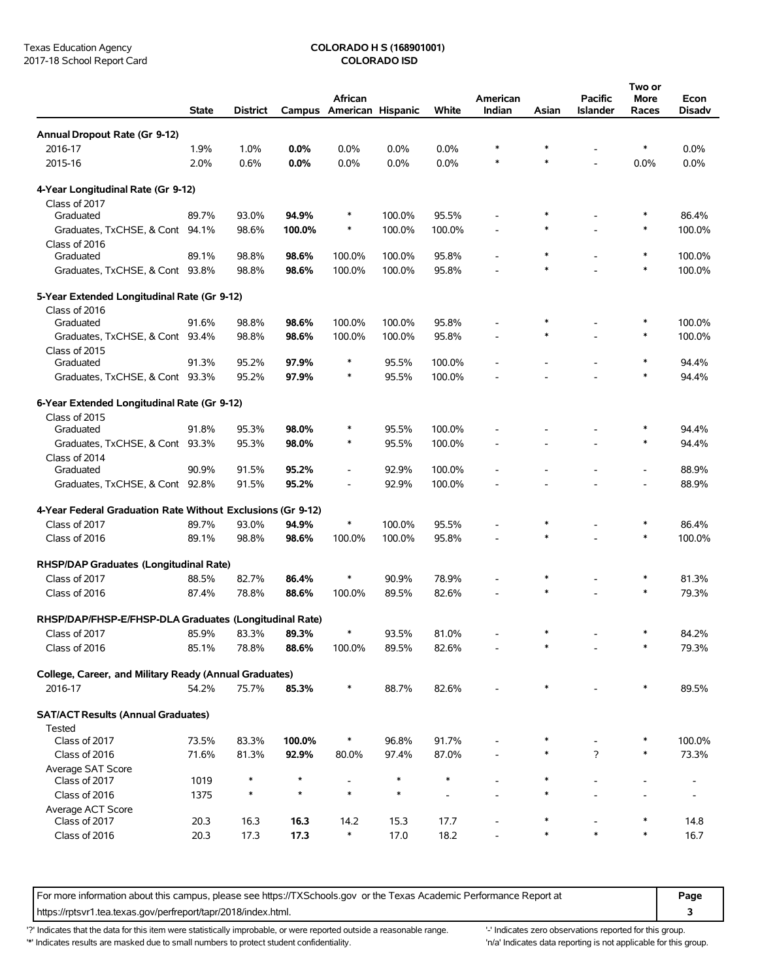# Texas Education Agency **COLORADO H S (168901001)**<br>
2017-18 School Report Card **COLORADO ISD**

|                                                             | <b>State</b> | <b>District</b> |         | African<br>Campus American Hispanic |        | White   | American<br>Indian | Asian  | Pacific<br><b>Islander</b> | Two or<br>More<br>Races | Econ<br><b>Disadv</b> |
|-------------------------------------------------------------|--------------|-----------------|---------|-------------------------------------|--------|---------|--------------------|--------|----------------------------|-------------------------|-----------------------|
| Annual Dropout Rate (Gr 9-12)                               |              |                 |         |                                     |        |         |                    |        |                            |                         |                       |
| 2016-17                                                     | 1.9%         | 1.0%            | 0.0%    | $0.0\%$                             | 0.0%   | $0.0\%$ | *                  |        |                            | ∗                       | $0.0\%$               |
| 2015-16                                                     | 2.0%         | 0.6%            | 0.0%    | 0.0%                                | 0.0%   | 0.0%    | $\ast$             |        |                            | 0.0%                    | 0.0%                  |
| 4-Year Longitudinal Rate (Gr 9-12)                          |              |                 |         |                                     |        |         |                    |        |                            |                         |                       |
| Class of 2017                                               |              |                 |         |                                     |        |         |                    |        |                            |                         |                       |
| Graduated                                                   | 89.7%        | 93.0%           | 94.9%   | $\ast$                              | 100.0% | 95.5%   |                    |        |                            |                         | 86.4%                 |
| Graduates, TxCHSE, & Cont 94.1%                             |              | 98.6%           | 100.0%  | $\ast$                              | 100.0% | 100.0%  |                    | $\ast$ |                            | ∗                       | 100.0%                |
| Class of 2016                                               |              |                 |         |                                     |        |         |                    |        |                            |                         |                       |
| Graduated                                                   | 89.1%        | 98.8%           | 98.6%   | 100.0%                              | 100.0% | 95.8%   |                    | $\ast$ |                            | ∗                       | 100.0%                |
| Graduates, TxCHSE, & Cont 93.8%                             |              | 98.8%           | 98.6%   | 100.0%                              | 100.0% | 95.8%   |                    |        |                            | ∗                       | 100.0%                |
| 5-Year Extended Longitudinal Rate (Gr 9-12)                 |              |                 |         |                                     |        |         |                    |        |                            |                         |                       |
| Class of 2016                                               |              |                 |         |                                     |        |         |                    |        |                            |                         |                       |
| Graduated                                                   | 91.6%        | 98.8%           | 98.6%   | 100.0%                              | 100.0% | 95.8%   |                    |        |                            | ∗                       | 100.0%                |
| Graduates, TxCHSE, & Cont 93.4%                             |              | 98.8%           | 98.6%   | 100.0%                              | 100.0% | 95.8%   |                    |        |                            | ∗                       | 100.0%                |
| Class of 2015<br>Graduated                                  | 91.3%        | 95.2%           | 97.9%   | $\ast$                              | 95.5%  | 100.0%  |                    |        |                            |                         | 94.4%                 |
| Graduates, TxCHSE, & Cont 93.3%                             |              | 95.2%           | 97.9%   | $\ast$                              | 95.5%  | 100.0%  |                    |        |                            | $\ast$                  | 94.4%                 |
|                                                             |              |                 |         |                                     |        |         |                    |        |                            |                         |                       |
| 6-Year Extended Longitudinal Rate (Gr 9-12)                 |              |                 |         |                                     |        |         |                    |        |                            |                         |                       |
| Class of 2015                                               |              |                 |         |                                     |        |         |                    |        |                            |                         |                       |
| Graduated                                                   | 91.8%        | 95.3%           | 98.0%   | $\ast$<br>$\ast$                    | 95.5%  | 100.0%  |                    |        |                            | $\ast$                  | 94.4%                 |
| Graduates, TxCHSE, & Cont 93.3%                             |              | 95.3%           | 98.0%   |                                     | 95.5%  | 100.0%  |                    |        |                            |                         | 94.4%                 |
| Class of 2014<br>Graduated                                  | 90.9%        | 91.5%           | 95.2%   | $\qquad \qquad \blacksquare$        | 92.9%  | 100.0%  |                    |        |                            |                         | 88.9%                 |
| Graduates, TxCHSE, & Cont 92.8%                             |              | 91.5%           | 95.2%   | $\overline{\phantom{0}}$            | 92.9%  | 100.0%  |                    |        |                            |                         | 88.9%                 |
|                                                             |              |                 |         |                                     |        |         |                    |        |                            |                         |                       |
| 4-Year Federal Graduation Rate Without Exclusions (Gr 9-12) |              |                 |         | *                                   |        |         |                    | $\ast$ |                            |                         |                       |
| Class of 2017                                               | 89.7%        | 93.0%           | 94.9%   |                                     | 100.0% | 95.5%   |                    | $\ast$ |                            | $\ast$                  | 86.4%                 |
| Class of 2016                                               | 89.1%        | 98.8%           | 98.6%   | 100.0%                              | 100.0% | 95.8%   |                    |        |                            |                         | 100.0%                |
| RHSP/DAP Graduates (Longitudinal Rate)                      |              |                 |         |                                     |        |         |                    |        |                            |                         |                       |
| Class of 2017                                               | 88.5%        | 82.7%           | 86.4%   | *                                   | 90.9%  | 78.9%   |                    |        |                            | ∗                       | 81.3%                 |
| Class of 2016                                               | 87.4%        | 78.8%           | 88.6%   | 100.0%                              | 89.5%  | 82.6%   |                    |        |                            | $\ast$                  | 79.3%                 |
| RHSP/DAP/FHSP-E/FHSP-DLA Graduates (Longitudinal Rate)      |              |                 |         |                                     |        |         |                    |        |                            |                         |                       |
| Class of 2017                                               | 85.9%        | 83.3%           | 89.3%   | *                                   | 93.5%  | 81.0%   |                    |        |                            |                         | 84.2%                 |
| Class of 2016                                               | 85.1%        | 78.8%           | 88.6%   | 100.0%                              | 89.5%  | 82.6%   |                    |        |                            | *                       | 79.3%                 |
| College, Career, and Military Ready (Annual Graduates)      |              |                 |         |                                     |        |         |                    |        |                            |                         |                       |
| 2016-17                                                     | 54.2%        | 75.7%           | 85.3%   | ∗                                   | 88.7%  | 82.6%   |                    |        |                            |                         | 89.5%                 |
| <b>SAT/ACT Results (Annual Graduates)</b>                   |              |                 |         |                                     |        |         |                    |        |                            |                         |                       |
| Tested                                                      |              |                 |         |                                     |        |         |                    |        |                            |                         |                       |
| Class of 2017                                               | 73.5%        | 83.3%           | 100.0%  | $\ast$                              | 96.8%  | 91.7%   |                    |        |                            |                         | 100.0%                |
| Class of 2016                                               | 71.6%        | 81.3%           | 92.9%   | 80.0%                               | 97.4%  | 87.0%   |                    |        | ?                          | ∗                       | 73.3%                 |
| Average SAT Score                                           |              |                 |         |                                     |        |         |                    |        |                            |                         |                       |
| Class of 2017                                               | 1019         |                 | $\star$ | $\overline{a}$                      | *      | *       |                    |        |                            |                         |                       |
| Class of 2016                                               | 1375         |                 | $\star$ | $\ast$                              | $\ast$ |         |                    |        |                            |                         |                       |
| Average ACT Score                                           |              |                 |         |                                     |        |         |                    |        |                            |                         |                       |
| Class of 2017                                               | 20.3         | 16.3            | 16.3    | 14.2<br>$\ast$                      | 15.3   | 17.7    |                    | *      | $\ast$                     | $\ast$                  | 14.8                  |
| Class of 2016                                               | 20.3         | 17.3            | 17.3    |                                     | 17.0   | 18.2    |                    |        |                            |                         | 16.7                  |

For more information about this campus, please see https://TXSchools.gov or the Texas Academic Performance Report at **Page** https://rptsvr1.tea.texas.gov/perfreport/tapr/2018/index.html. **3**

'?' Indicates that the data for this item were statistically improbable, or were reported outside a reasonable range. "Indicates zero observations reported for this group.

'\*' Indicates results are masked due to small numbers to protect student confidentiality. 'n/a' Indicates data reporting is not applicable for this group.